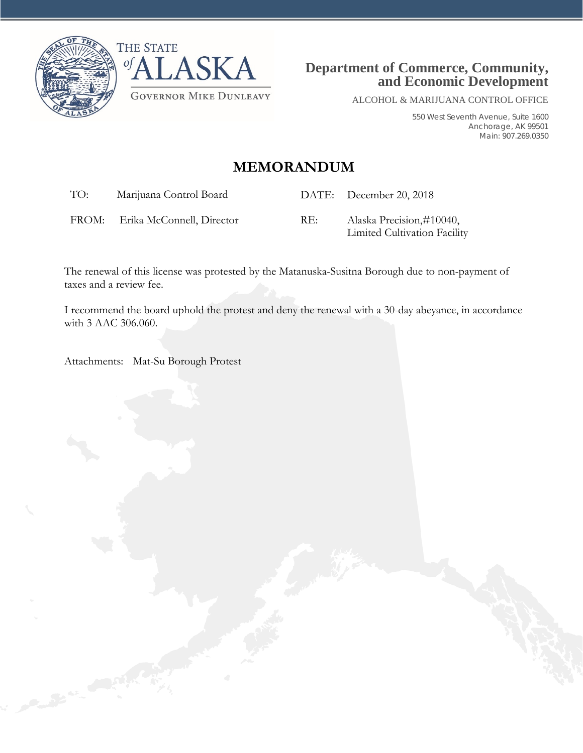



ALCOHOL & MARIJUANA CONTROL OFFICE

550 West Seventh Avenue, Suite 1600 Anchorage, AK 99501 Main: 907.269.0350

# **MEMORANDUM**

TO: Marijuana Control Board DATE: December 20, 2018

FROM: Erika McConnell, Director RE: Alaska Precision,#10040,

Limited Cultivation Facility

The renewal of this license was protested by the Matanuska-Susitna Borough due to non-payment of taxes and a review fee.

I recommend the board uphold the protest and deny the renewal with a 30-day abeyance, in accordance with 3 AAC 306.060.

Attachments: Mat-Su Borough Protest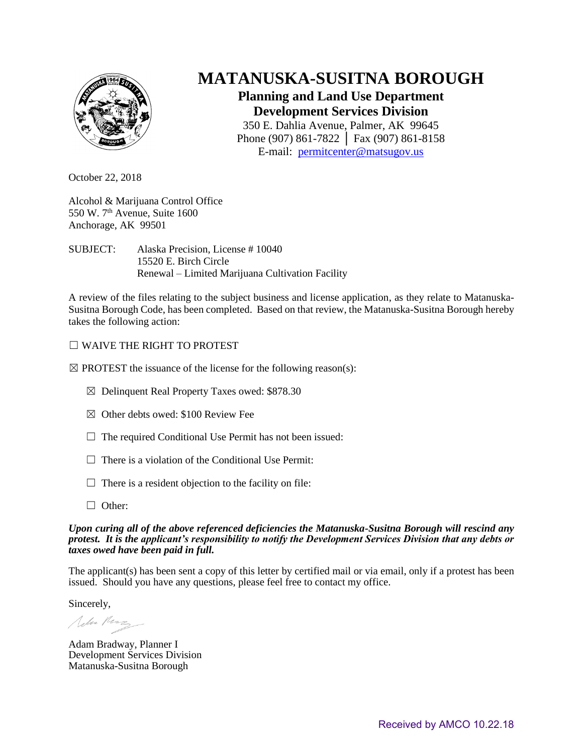

# **MATANUSKA-SUSITNA BOROUGH**

## **Planning and Land Use Department Development Services Division**

350 E. Dahlia Avenue, Palmer, AK 99645 Phone (907) 861-7822 │ Fax (907) 861-8158 E-mail: [permitcenter@matsugov.us](mailto:permitcenter@matsugov.us)

October 22, 2018

Alcohol & Marijuana Control Office 550 W.  $7<sup>th</sup>$  Avenue, Suite 1600 Anchorage, AK 99501

SUBJECT: Alaska Precision, License # 10040 15520 E. Birch Circle Renewal – Limited Marijuana Cultivation Facility

A review of the files relating to the subject business and license application, as they relate to Matanuska-Susitna Borough Code, has been completed. Based on that review, the Matanuska-Susitna Borough hereby takes the following action:

### ☐ WAIVE THE RIGHT TO PROTEST

 $\boxtimes$  PROTEST the issuance of the license for the following reason(s):

- ☒ Delinquent Real Property Taxes owed: \$878.30
- $\boxtimes$  Other debts owed: \$100 Review Fee
- $\Box$  The required Conditional Use Permit has not been issued:
- $\Box$  There is a violation of the Conditional Use Permit:
- $\Box$  There is a resident objection to the facility on file:
- □ Other:

#### *Upon curing all of the above referenced deficiencies the Matanuska-Susitna Borough will rescind any protest. It is the applicant's responsibility to notify the Development Services Division that any debts or taxes owed have been paid in full.*

The applicant(s) has been sent a copy of this letter by certified mail or via email, only if a protest has been issued. Should you have any questions, please feel free to contact my office.

Sincerely,

John Perz

Adam Bradway, Planner I Development Services Division Matanuska-Susitna Borough